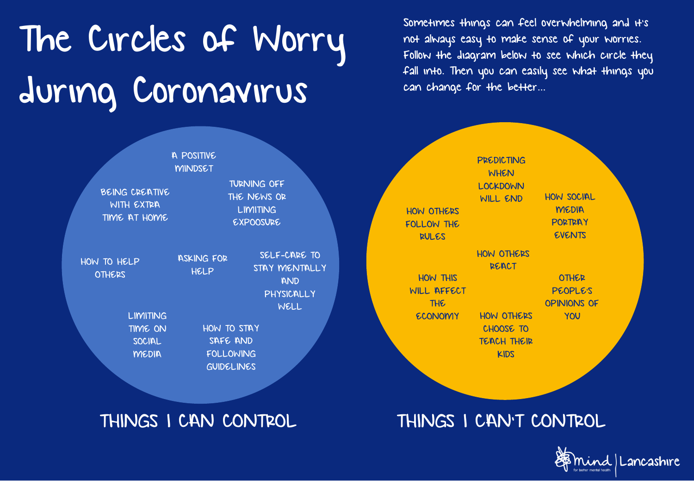## The Circles of Worry during Coronavirus

not always easy to make sense of your worries. Follow the diagram below to see which circle they fall into. Then you can easily see what things you can change for the better…

Sometimes things can feel overwhelming and it's



## THINGS I CAN CONTROL THINGS I CAN'T CONTROL